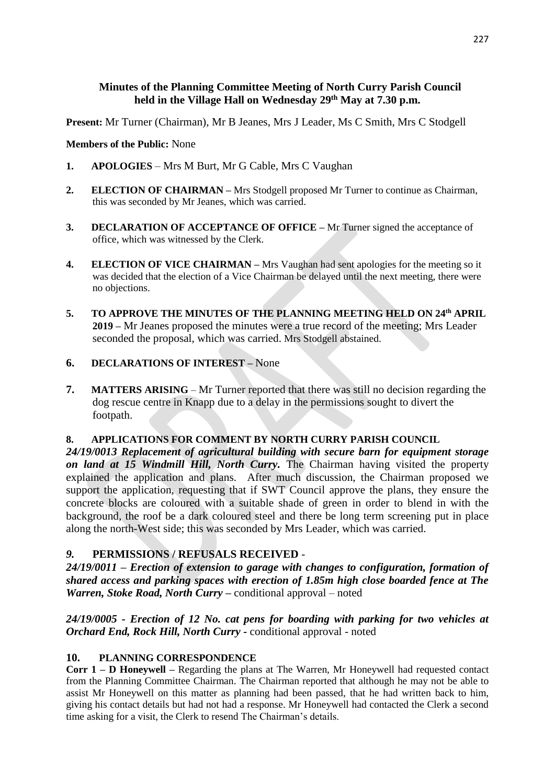#### **Minutes of the Planning Committee Meeting of North Curry Parish Council held in the Village Hall on Wednesday 29th May at 7.30 p.m.**

**Present:** Mr Turner (Chairman), Mr B Jeanes, Mrs J Leader, Ms C Smith, Mrs C Stodgell

#### **Members of the Public:** None

- **1. APOLOGIES**  Mrs M Burt, Mr G Cable, Mrs C Vaughan
- **2. ELECTION OF CHAIRMAN –** Mrs Stodgell proposed Mr Turner to continue as Chairman, this was seconded by Mr Jeanes, which was carried.
- **3. DECLARATION OF ACCEPTANCE OF OFFICE –** Mr Turner signed the acceptance of office, which was witnessed by the Clerk.
- **4. ELECTION OF VICE CHAIRMAN –** Mrs Vaughan had sent apologies for the meeting so it was decided that the election of a Vice Chairman be delayed until the next meeting, there were no objections.
- **5. TO APPROVE THE MINUTES OF THE PLANNING MEETING HELD ON 24th APRIL 2019 –** Mr Jeanes proposed the minutes were a true record of the meeting; Mrs Leader seconded the proposal, which was carried. Mrs Stodgell abstained.

#### **6. DECLARATIONS OF INTEREST –** None

**7. MATTERS ARISING** – Mr Turner reported that there was still no decision regarding the dog rescue centre in Knapp due to a delay in the permissions sought to divert the footpath.

# **8. APPLICATIONS FOR COMMENT BY NORTH CURRY PARISH COUNCIL**

*24/19/0013 Replacement of agricultural building with secure barn for equipment storage on land at 15 Windmill Hill, North Curry.* The Chairman having visited the property explained the application and plans. After much discussion, the Chairman proposed we support the application, requesting that if SWT Council approve the plans, they ensure the concrete blocks are coloured with a suitable shade of green in order to blend in with the background, the roof be a dark coloured steel and there be long term screening put in place along the north-West side; this was seconded by Mrs Leader, which was carried.

# *9.* **PERMISSIONS / REFUSALS RECEIVED** *-*

*24/19/0011 – Erection of extension to garage with changes to configuration, formation of shared access and parking spaces with erection of 1.85m high close boarded fence at The Warren, Stoke Road, North Curry –* conditional approval – noted

# *24/19/0005 - Erection of 12 No. cat pens for boarding with parking for two vehicles at Orchard End, Rock Hill, North Curry -* conditional approval - noted

# **10. PLANNING CORRESPONDENCE**

**Corr 1 – D Honeywell –** Regarding the plans at The Warren, Mr Honeywell had requested contact from the Planning Committee Chairman. The Chairman reported that although he may not be able to assist Mr Honeywell on this matter as planning had been passed, that he had written back to him, giving his contact details but had not had a response. Mr Honeywell had contacted the Clerk a second time asking for a visit, the Clerk to resend The Chairman's details.